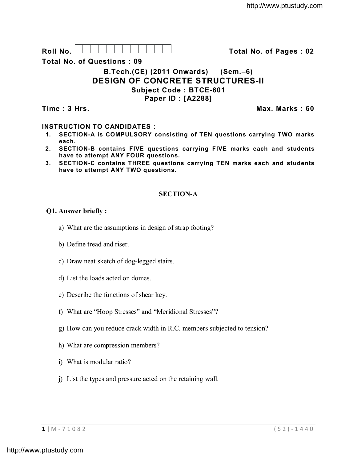

**Total No. of Questions : 09**

# **B.Tech.(CE) (2011 Onwards) (Sem.–6) DESIGN OF CONCRETE STRUCTURES-II Subject Code : BTCE-601 Paper ID : [A2288]**

**Time : 3 Hrs. Max. Marks : 60**

# **INSTRUCTION TO CANDIDATES :**

- **1. SECTION-A is COMPULSORY consisting of TEN questions carrying TWO marks each.**
- **2. SECTION-B contains FIVE questions carrying FIVE marks each and students have to attempt ANY FOUR questions.**
- **3. SECTION-C contains THREE questions carrying TEN marks each and students have to attempt ANY TWO questions.**

# **SECTION-A**

### **Q1. Answer briefly :**

- a) What are the assumptions in design of strap footing?
- b) Define tread and riser.
- c) Draw neat sketch of dog-legged stairs.
- d) List the loads acted on domes.
- e) Describe the functions of shear key.
- f) What are "Hoop Stresses" and "Meridional Stresses"?
- g) How can you reduce crack width in R.C. members subjected to tension?
- h) What are compression members?
- i) What is modular ratio?
- j) List the types and pressure acted on the retaining wall.